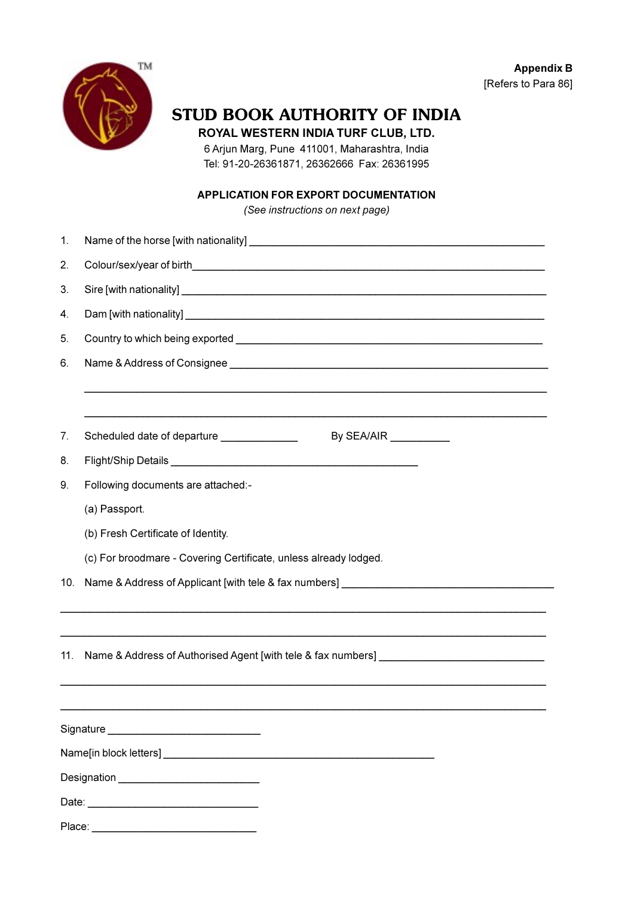**Appendix B** [Refers to Para 86]



## STUD BOOK AUTHORITY OF INDIA

ROYAL WESTERN INDIA TURF CLUB, LTD.

6 Arjun Marg, Pune 411001, Maharashtra, India Tel: 91-20-26361871, 26362666 Fax: 26361995

## **APPLICATION FOR EXPORT DOCUMENTATION**

(See instructions on next page)

| 1.                                            |                                                                                           |
|-----------------------------------------------|-------------------------------------------------------------------------------------------|
| 2.                                            |                                                                                           |
| 3.                                            |                                                                                           |
| 4.                                            |                                                                                           |
| 5.                                            |                                                                                           |
| 6.                                            |                                                                                           |
|                                               |                                                                                           |
|                                               |                                                                                           |
| 7.                                            | Scheduled date of departure ______________<br>By SEA/AIR $\_\_\_\_\_\_\_\_\_\_\_\_\_\_\_$ |
| 8.                                            |                                                                                           |
| 9.                                            | Following documents are attached:-                                                        |
|                                               | (a) Passport.                                                                             |
|                                               | (b) Fresh Certificate of Identity.                                                        |
|                                               | (c) For broodmare - Covering Certificate, unless already lodged.                          |
| 10.                                           | Name & Address of Applicant [with tele & fax numbers] __________________________          |
|                                               |                                                                                           |
|                                               |                                                                                           |
| 11.                                           | Name & Address of Authorised Agent [with tele & fax numbers] ____________________         |
|                                               |                                                                                           |
|                                               |                                                                                           |
|                                               |                                                                                           |
|                                               |                                                                                           |
| Designation _________________________________ |                                                                                           |
|                                               |                                                                                           |
|                                               |                                                                                           |